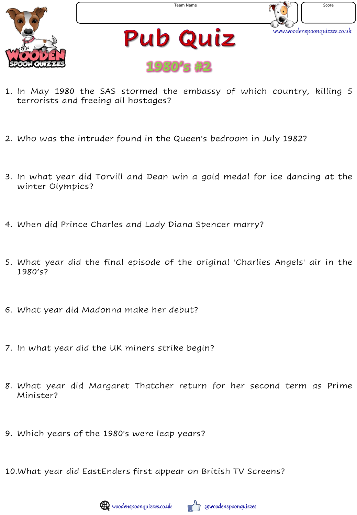



**Pub Quiz 1980's #2**

- 1. In May 1980 the SAS stormed the embassy of which country, killing 5 terrorists and freeing all hostages?
- 2. Who was the intruder found in the Queen's bedroom in July 1982?
- 3. In what year did Torvill and Dean win a gold medal for ice dancing at the winter Olympics?
- 4. When did Prince Charles and Lady Diana Spencer marry?
- 5. What year did the final episode of the original 'Charlies Angels' air in the 1980's?
- 6. What year did Madonna make her debut?
- 7. In what year did the UK miners strike begin?
- 8. What year did Margaret Thatcher return for her second term as Prime Minister?
- 9. Which years of the 1980's were leap years?

10.What year did EastEnders first appear on British TV Screens?